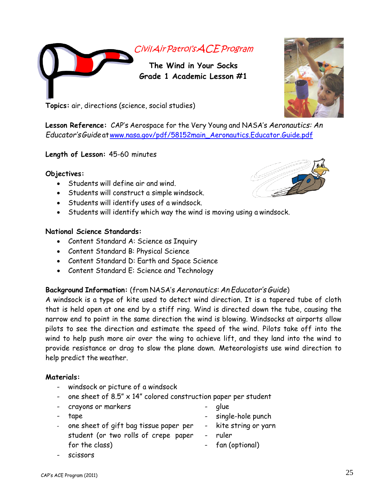

**Topics:** air, directions (science, social studies)

**Lesson Reference:** CAP's Aerospace for the Very Young and NASA's *Aeronautics: An Educator'sGuide* a[twww.nasa.gov/pdf/58152main\\_Aeronautics.Educator.Guide.pdf](http://www.nasa.gov/pdf/58152main_Aeronautics.Educator.Guide.pdf)

### **Length of Lesson:** 45-60 minutes

### **Objectives:**

- Students will define air and wind.
- Students will construct a simple windsock.
- Students will identify uses of a windsock.
- Students will identify which way the wind is moving using a windsock.

### **National Science Standards:**

- Content Standard A: Science as Inquiry
- Content Standard B: Physical Science
- Content Standard D: Earth and Space Science
- Content Standard E: Science and Technology

## **Background Information:** (from NASA's *Aeronautics: An Educator's Guide*)

A windsock is a type of kite used to detect wind direction. It is a tapered tube of cloth that is held open at one end by a stiff ring. Wind is directed down the tube, causing the narrow end to point in the same direction the wind is blowing. Windsocks at airports allow pilots to see the direction and estimate the speed of the wind. Pilots take off into the wind to help push more air over the wing to achieve lift, and they land into the wind to provide resistance or drag to slow the plane down. Meteorologists use wind direction to help predict the weather.

### **Materials:**

- windsock or picture of a windsock
- one sheet of 8.5"  $\times$  14" colored construction paper per student
- crayons or markers
- glue
- tape - one sheet of gift bag tissue paper per student (or two rolls of crepe paper
- single-hole punch kite string or yarn
- ruler
	- fan (optional)





for the class)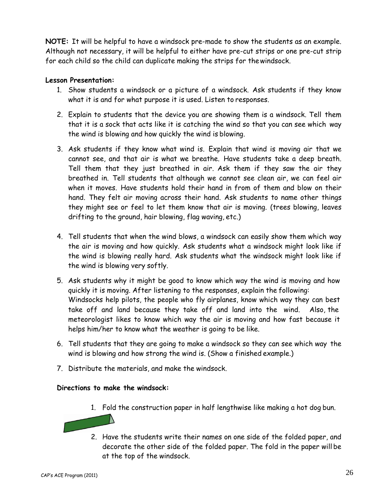**NOTE:** It will be helpful to have a windsock pre-made to show the students as an example. Although not necessary, it will be helpful to either have pre-cut strips or one pre-cut strip for each child so the child can duplicate making the strips for thewindsock.

# **Lesson Presentation:**

- 1. Show students a windsock or a picture of a windsock. Ask students if they know what it is and for what purpose it is used. Listen to responses.
- 2. Explain to students that the device you are showing them is a windsock. Tell them that it is a sock that acts like it is catching the wind so that you can see which way the wind is blowing and how quickly the wind is blowing.
- 3. Ask students if they know what wind is. Explain that wind is moving air that we cannot see, and that air is what we breathe. Have students take a deep breath. Tell them that they just breathed in air. Ask them if they saw the air they breathed in. Tell students that although we cannot see clean air, we can feel air when it moves. Have students hold their hand in from of them and blow on their hand. They felt air moving across their hand. Ask students to name other things they might see or feel to let them know that air is moving. (trees blowing, leaves drifting to the ground, hair blowing, flag waving, etc.)
- 4. Tell students that when the wind blows, a windsock can easily show them which way the air is moving and how quickly. Ask students what a windsock might look like if the wind is blowing really hard. Ask students what the windsock might look like if the wind is blowing very softly.
- 5. Ask students why it might be good to know which way the wind is moving and how quickly it is moving. After listening to the responses, explain the following: Windsocks help pilots, the people who fly airplanes, know which way they can best take off and land because they take off and land into the wind. Also, the meteorologist likes to know which way the air is moving and how fast because it helps him/her to know what the weather is going to be like.
- 6. Tell students that they are going to make a windsock so they can see which way the wind is blowing and how strong the wind is. (Show a finished example.)
- 7. Distribute the materials, and make the windsock.

## **Directions to make the windsock:**

1. Fold the construction paper in half lengthwise like making a hot dog bun.



2. Have the students write their names on one side of the folded paper, and decorate the other side of the folded paper. The fold in the paper will be at the top of the windsock.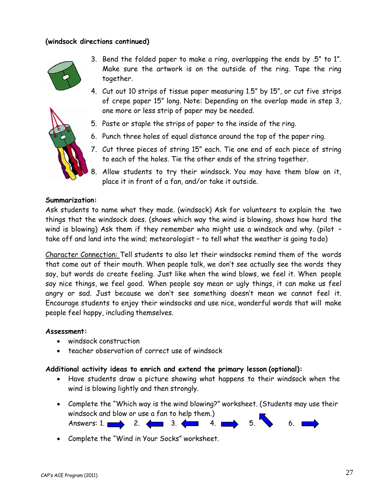### **(windsock directions continued)**



- 3. Bend the folded paper to make a ring, overlapping the ends by .5" to 1". Make sure the artwork is on the outside of the ring. Tape the ring together.
- 4. Cut out 10 strips of tissue paper measuring 1.5" by 15", or cut five strips of crepe paper 15" long. Note: Depending on the overlap made in step 3, one more or less strip of paper may be needed.
- 5. Paste or staple the strips of paper to the inside of the ring.
- 6. Punch three holes of equal distance around the top of the paper ring.
- 7. Cut three pieces of string 15" each. Tie one end of each piece of string to each of the holes. Tie the other ends of the string together.
- 8. Allow students to try their windsock. You may have them blow on it, place it in front of a fan, and/or take it outside.

#### **Summarization:**

Ask students to name what they made. (windsock) Ask for volunteers to explain the two things that the windsock does. (shows which way the wind is blowing, shows how hard the wind is blowing) Ask them if they remember who might use a windsock and why. (pilot take off and land into the wind; meteorologist – to tell what the weather is going todo)

Character Connection: Tell students to also let their windsocks remind them of the words that come out of their mouth. When people talk, we don't see actually see the words they say, but words do create feeling. Just like when the wind blows, we feel it. When people say nice things, we feel good. When people say mean or ugly things, it can make us feel angry or sad. Just because we don't see something doesn't mean we cannot feel it. Encourage students to enjoy their windsocks and use nice, wonderful words that will make people feel happy, including themselves.

### **Assessment:**

- windsock construction
- teacher observation of correct use of windsock

### **Additional activity ideas to enrich and extend the primary lesson (optional):**

- Have students draw a picture showing what happens to their windsock when the wind is blowing lightly and then strongly.
- Complete the "Which way is the wind blowing?" worksheet. (Students may use their windsock and blow or use a fan to help them.) Answers: 1.  $\longrightarrow$  2.  $\longleftarrow$  3.  $\longleftarrow$  4.  $\longrightarrow$  5.  $\longrightarrow$  6.
- Complete the "Wind in Your Socks" worksheet.

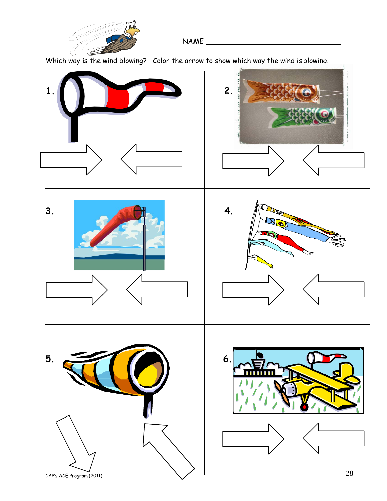